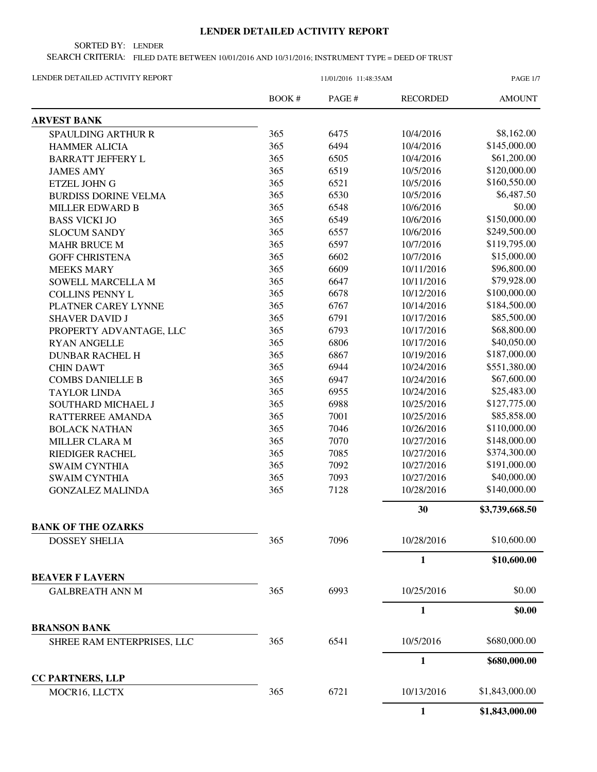## **LENDER DETAILED ACTIVITY REPORT**

SORTED BY: LENDER

SEARCH CRITERIA: FILED DATE BETWEEN 10/01/2016 AND 10/31/2016; INSTRUMENT TYPE = DEED OF TRUST

| LENDER DETAILED ACTIVITY REPORT |  |
|---------------------------------|--|
|                                 |  |

| LENDER DETAILED ACTIVITY REPORT                   |        | <b>PAGE 1/7</b>            |                 |                |
|---------------------------------------------------|--------|----------------------------|-----------------|----------------|
|                                                   | BOOK # | $\mathop{\mathrm{PAGE}}$ # | <b>RECORDED</b> | <b>AMOUNT</b>  |
| <b>ARVEST BANK</b>                                |        |                            |                 |                |
| <b>SPAULDING ARTHUR R</b>                         | 365    | 6475                       | 10/4/2016       | \$8,162.00     |
| <b>HAMMER ALICIA</b>                              | 365    | 6494                       | 10/4/2016       | \$145,000.00   |
| <b>BARRATT JEFFERY L</b>                          | 365    | 6505                       | 10/4/2016       | \$61,200.00    |
| <b>JAMES AMY</b>                                  | 365    | 6519                       | 10/5/2016       | \$120,000.00   |
| <b>ETZEL JOHN G</b>                               | 365    | 6521                       | 10/5/2016       | \$160,550.00   |
| <b>BURDISS DORINE VELMA</b>                       | 365    | 6530                       | 10/5/2016       | \$6,487.50     |
| <b>MILLER EDWARD B</b>                            | 365    | 6548                       | 10/6/2016       | \$0.00         |
| <b>BASS VICKI JO</b>                              | 365    | 6549                       | 10/6/2016       | \$150,000.00   |
| <b>SLOCUM SANDY</b>                               | 365    | 6557                       | 10/6/2016       | \$249,500.00   |
| <b>MAHR BRUCE M</b>                               | 365    | 6597                       | 10/7/2016       | \$119,795.00   |
| <b>GOFF CHRISTENA</b>                             | 365    | 6602                       | 10/7/2016       | \$15,000.00    |
| <b>MEEKS MARY</b>                                 | 365    | 6609                       | 10/11/2016      | \$96,800.00    |
| SOWELL MARCELLA M                                 | 365    | 6647                       | 10/11/2016      | \$79,928.00    |
| <b>COLLINS PENNY L</b>                            | 365    | 6678                       | 10/12/2016      | \$100,000.00   |
| PLATNER CAREY LYNNE                               | 365    | 6767                       | 10/14/2016      | \$184,500.00   |
| <b>SHAVER DAVID J</b>                             | 365    | 6791                       | 10/17/2016      | \$85,500.00    |
| PROPERTY ADVANTAGE, LLC                           | 365    | 6793                       | 10/17/2016      | \$68,800.00    |
| <b>RYAN ANGELLE</b>                               | 365    | 6806                       | 10/17/2016      | \$40,050.00    |
| <b>DUNBAR RACHEL H</b>                            | 365    | 6867                       | 10/19/2016      | \$187,000.00   |
| <b>CHIN DAWT</b>                                  | 365    | 6944                       | 10/24/2016      | \$551,380.00   |
| <b>COMBS DANIELLE B</b>                           | 365    | 6947                       | 10/24/2016      | \$67,600.00    |
| <b>TAYLOR LINDA</b>                               | 365    | 6955                       | 10/24/2016      | \$25,483.00    |
| SOUTHARD MICHAEL J                                | 365    | 6988                       | 10/25/2016      | \$127,775.00   |
| RATTERREE AMANDA                                  | 365    | 7001                       | 10/25/2016      | \$85,858.00    |
| <b>BOLACK NATHAN</b>                              | 365    | 7046                       | 10/26/2016      | \$110,000.00   |
| <b>MILLER CLARA M</b>                             | 365    | 7070                       | 10/27/2016      | \$148,000.00   |
| <b>RIEDIGER RACHEL</b>                            | 365    | 7085                       | 10/27/2016      | \$374,300.00   |
| <b>SWAIM CYNTHIA</b>                              | 365    | 7092                       | 10/27/2016      | \$191,000.00   |
| <b>SWAIM CYNTHIA</b>                              | 365    | 7093                       | 10/27/2016      | \$40,000.00    |
| <b>GONZALEZ MALINDA</b>                           | 365    | 7128                       | 10/28/2016      | \$140,000.00   |
|                                                   |        |                            | 30              | \$3,739,668.50 |
| <b>BANK OF THE OZARKS</b><br><b>DOSSEY SHELIA</b> | 365    | 7096                       | 10/28/2016      | \$10,600.00    |
|                                                   |        |                            | 1               | \$10,600.00    |
| <b>BEAVER F LAVERN</b>                            |        |                            |                 |                |
| <b>GALBREATH ANN M</b>                            | 365    | 6993                       | 10/25/2016      | \$0.00         |
|                                                   |        |                            | 1               | \$0.00         |
| <b>BRANSON BANK</b>                               |        |                            |                 |                |
|                                                   | 365    | 6541                       | 10/5/2016       | \$680,000.00   |
| SHREE RAM ENTERPRISES, LLC                        |        |                            |                 |                |
| <b>CC PARTNERS, LLP</b>                           |        |                            | 1               | \$680,000.00   |
| MOCR16, LLCTX                                     | 365    | 6721                       | 10/13/2016      | \$1,843,000.00 |
|                                                   |        |                            | $\mathbf{1}$    | \$1,843,000.00 |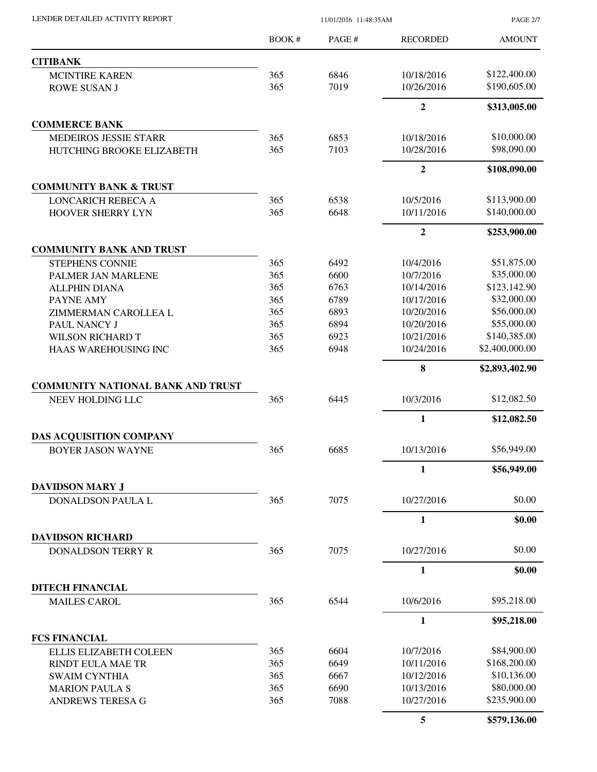| LENDER DETAILED ACTIVITY REPORT                              | 11/01/2016 11:48:35AM |              |                          | <b>PAGE 2/7</b>             |
|--------------------------------------------------------------|-----------------------|--------------|--------------------------|-----------------------------|
|                                                              | BOOK#                 | PAGE#        | <b>RECORDED</b>          | <b>AMOUNT</b>               |
| <b>CITIBANK</b>                                              |                       |              |                          |                             |
| <b>MCINTIRE KAREN</b>                                        | 365                   | 6846         | 10/18/2016               | \$122,400.00                |
| <b>ROWE SUSAN J</b>                                          | 365                   | 7019         | 10/26/2016               | \$190,605.00                |
|                                                              |                       |              | $\overline{2}$           | \$313,005.00                |
| <b>COMMERCE BANK</b>                                         |                       |              |                          |                             |
| <b>MEDEIROS JESSIE STARR</b>                                 | 365                   | 6853         | 10/18/2016               | \$10,000.00                 |
| HUTCHING BROOKE ELIZABETH                                    | 365                   | 7103         | 10/28/2016               | \$98,090.00                 |
|                                                              |                       |              | $\overline{2}$           | \$108,090.00                |
| <b>COMMUNITY BANK &amp; TRUST</b>                            |                       |              |                          |                             |
| LONCARICH REBECA A                                           | 365                   | 6538         | 10/5/2016                | \$113,900.00                |
| HOOVER SHERRY LYN                                            | 365                   | 6648         | 10/11/2016               | \$140,000.00                |
|                                                              |                       |              | $\boldsymbol{2}$         | \$253,900.00                |
| <b>COMMUNITY BANK AND TRUST</b>                              |                       |              |                          |                             |
| <b>STEPHENS CONNIE</b>                                       | 365                   | 6492         | 10/4/2016                | \$51,875.00<br>\$35,000.00  |
| PALMER JAN MARLENE                                           | 365                   | 6600         | 10/7/2016                |                             |
| <b>ALLPHIN DIANA</b>                                         | 365                   | 6763         | 10/14/2016               | \$123,142.90                |
| PAYNE AMY                                                    | 365                   | 6789         | 10/17/2016               | \$32,000.00                 |
| ZIMMERMAN CAROLLEA L                                         | 365                   | 6893         | 10/20/2016               | \$56,000.00                 |
| PAUL NANCY J                                                 | 365                   | 6894         | 10/20/2016               | \$55,000.00                 |
| <b>WILSON RICHARD T</b>                                      | 365                   | 6923         | 10/21/2016               | \$140,385.00                |
| HAAS WAREHOUSING INC                                         | 365                   | 6948         | 10/24/2016               | \$2,400,000.00              |
|                                                              |                       |              | 8                        | \$2,893,402.90              |
| <b>COMMUNITY NATIONAL BANK AND TRUST</b><br>NEEV HOLDING LLC | 365                   | 6445         | 10/3/2016                | \$12,082.50                 |
|                                                              |                       |              | $\mathbf{1}$             | \$12,082.50                 |
|                                                              |                       |              |                          |                             |
| <b>DAS ACQUISITION COMPANY</b><br><b>BOYER JASON WAYNE</b>   | 365                   | 6685         | 10/13/2016               | \$56,949.00                 |
|                                                              |                       |              | 1                        | \$56,949.00                 |
| <b>DAVIDSON MARY J</b>                                       |                       |              |                          |                             |
| <b>DONALDSON PAULA L</b>                                     | 365                   | 7075         | 10/27/2016               | \$0.00                      |
|                                                              |                       |              | $\mathbf{1}$             | \$0.00                      |
| <b>DAVIDSON RICHARD</b>                                      |                       |              |                          |                             |
| <b>DONALDSON TERRY R</b>                                     | 365                   | 7075         | 10/27/2016               | \$0.00                      |
|                                                              |                       |              | 1                        | \$0.00                      |
| <b>DITECH FINANCIAL</b>                                      |                       |              |                          |                             |
| <b>MAILES CAROL</b>                                          | 365                   | 6544         | 10/6/2016                | \$95,218.00                 |
|                                                              |                       |              | $\mathbf{1}$             | \$95,218.00                 |
| <b>FCS FINANCIAL</b>                                         |                       |              |                          |                             |
| <b>ELLIS ELIZABETH COLEEN</b>                                | 365                   | 6604         | 10/7/2016                | \$84,900.00                 |
| RINDT EULA MAE TR                                            | 365                   | 6649         | 10/11/2016               | \$168,200.00                |
| <b>SWAIM CYNTHIA</b>                                         | 365                   | 6667         | 10/12/2016               | \$10,136.00                 |
| <b>MARION PAULA S</b><br>ANDREWS TERESA G                    | 365<br>365            | 6690<br>7088 | 10/13/2016<br>10/27/2016 | \$80,000.00<br>\$235,900.00 |
|                                                              |                       |              | 5                        | \$579,136.00                |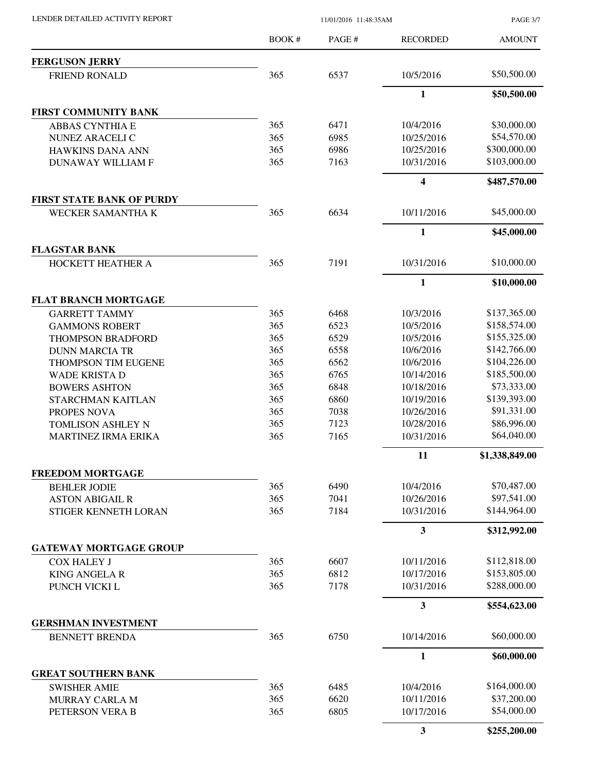BOOK # PAGE # AMOUNT RECORDED **FERGUSON JERRY** FRIEND RONALD 365 6537 10/5/2016 \$50,500.00 **1 \$50,500.00 FIRST COMMUNITY BANK** ABBAS CYNTHIA E 365 6471 10/4/2016 \$30,000.00 NUNEZ ARACELI C 365 6985 10/25/2016 \$54,570.00 HAWKINS DANA ANN 365 6986 10/25/2016 \$300,000.00 DUNAWAY WILLIAM F 365 7163 10/31/2016 \$103,000.00 **4 \$487,570.00 FIRST STATE BANK OF PURDY** WECKER SAMANTHA K 365 6634 10/11/2016 \$45,000.00 **1 \$45,000.00 FLAGSTAR BANK** HOCKETT HEATHER A 365 7191 10/31/2016 \$10,000.00 **1 \$10,000.00 FLAT BRANCH MORTGAGE** GARRETT TAMMY 365 6468 10/3/2016 \$137,365.00 GAMMONS ROBERT 365 6523 10/5/2016 \$158,574.00 THOMPSON BRADFORD 365 6529 10/5/2016 \$155,325.00 DUNN MARCIA TR 365 6558 10/6/2016 \$142,766.00 THOMPSON TIM EUGENE 365 365 4562 10/6/2016 \$104,226.00 WADE KRISTA D 365 6765 10/14/2016 \$185,500.00 BOWERS ASHTON 365 6848 10/18/2016 \$73,333.00 STARCHMAN KAITLAN 365 6860 10/19/2016 \$139,393.00 PROPES NOVA 365 7038 10/26/2016 \$91,331.00 TOMLISON ASHLEY N 365 7123 10/28/2016 \$86,996.00 MARTINEZ IRMA ERIKA  $365$  7165 10/31/2016 \$64,040.00 **11 \$1,338,849.00 FREEDOM MORTGAGE** BEHLER JODIE 365 6490 10/4/2016 \$70,487.00 ASTON ABIGAIL R 365 7041 10/26/2016 \$97,541.00 STIGER KENNETH LORAN 365 7184 10/31/2016 \$144,964.00 **3 \$312,992.00 GATEWAY MORTGAGE GROUP** COX HALEY J 365 6607 10/11/2016 \$112,818.00 KING ANGELA R 365 6812 10/17/2016 \$153,805.00 PUNCH VICKI L 365 7178 10/31/2016 \$288,000.00 **3 \$554,623.00 GERSHMAN INVESTMENT** BENNETT BRENDA 365 6750 10/14/2016 \$60,000.00 **1 \$60,000.00 GREAT SOUTHERN BANK** SWISHER AMIE 365 6485 10/4/2016 \$164,000.00 MURRAY CARLA M 365 6620 10/11/2016 \$37,200.00 PETERSON VERA B 365 6805 10/17/2016 \$54,000.00 **3 \$255,200.00**

LENDER DETAILED ACTIVITY REPORT 11/01/2016 11:48:35AM

PAGE 3/7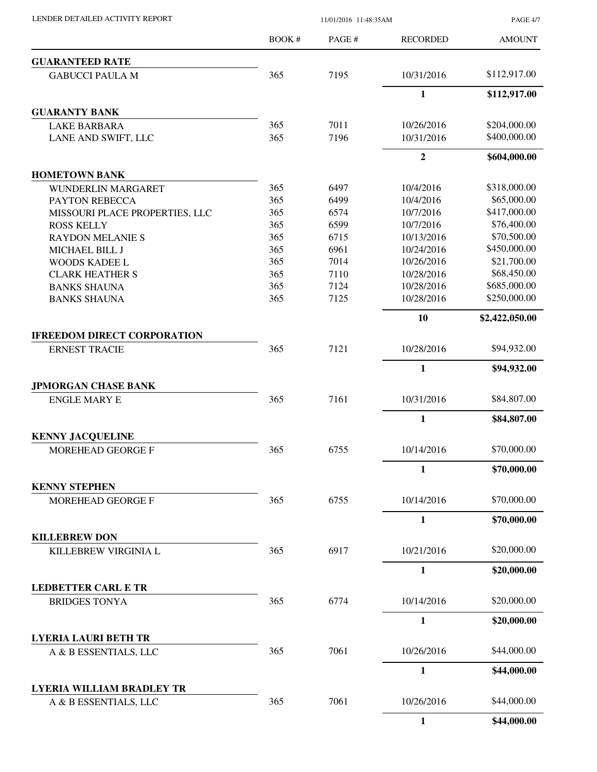LENDER DETAILED ACTIVITY REPORT 11/01/2016 11:48:35AM

PAGE 4/7

|                                                      | BOOK# | PAGE# | <b>RECORDED</b> | <b>AMOUNT</b>  |
|------------------------------------------------------|-------|-------|-----------------|----------------|
| <b>GUARANTEED RATE</b>                               |       |       |                 |                |
| <b>GABUCCI PAULA M</b>                               | 365   | 7195  | 10/31/2016      | \$112,917.00   |
|                                                      |       |       | $\mathbf{1}$    | \$112,917.00   |
| <b>GUARANTY BANK</b>                                 |       |       |                 |                |
| <b>LAKE BARBARA</b>                                  | 365   | 7011  | 10/26/2016      | \$204,000.00   |
| LANE AND SWIFT, LLC                                  | 365   | 7196  | 10/31/2016      | \$400,000.00   |
|                                                      |       |       | $\overline{2}$  | \$604,000.00   |
| <b>HOMETOWN BANK</b>                                 |       |       |                 |                |
| <b>WUNDERLIN MARGARET</b>                            | 365   | 6497  | 10/4/2016       | \$318,000.00   |
| PAYTON REBECCA                                       | 365   | 6499  | 10/4/2016       | \$65,000.00    |
| MISSOURI PLACE PROPERTIES, LLC                       | 365   | 6574  | 10/7/2016       | \$417,000.00   |
| <b>ROSS KELLY</b>                                    | 365   | 6599  | 10/7/2016       | \$76,400.00    |
| <b>RAYDON MELANIE S</b>                              | 365   | 6715  | 10/13/2016      | \$70,500.00    |
| MICHAEL BILL J                                       | 365   | 6961  | 10/24/2016      | \$450,000.00   |
| <b>WOODS KADEE L</b>                                 | 365   | 7014  | 10/26/2016      | \$21,700.00    |
| <b>CLARK HEATHER S</b>                               | 365   | 7110  | 10/28/2016      | \$68,450.00    |
| <b>BANKS SHAUNA</b>                                  | 365   | 7124  | 10/28/2016      | \$685,000.00   |
| <b>BANKS SHAUNA</b>                                  | 365   | 7125  | 10/28/2016      | \$250,000.00   |
|                                                      |       |       | 10              | \$2,422,050.00 |
| <b>IFREEDOM DIRECT CORPORATION</b>                   |       |       |                 |                |
| <b>ERNEST TRACIE</b>                                 | 365   | 7121  | 10/28/2016      | \$94,932.00    |
|                                                      |       |       | $\mathbf{1}$    | \$94,932.00    |
| <b>JPMORGAN CHASE BANK</b>                           |       |       |                 |                |
| <b>ENGLE MARY E</b>                                  | 365   | 7161  | 10/31/2016      | \$84,807.00    |
|                                                      |       |       | $\mathbf{1}$    | \$84,807.00    |
| <b>KENNY JACQUELINE</b>                              |       |       |                 |                |
| <b>MOREHEAD GEORGE F</b>                             | 365   | 6755  | 10/14/2016      | \$70,000.00    |
|                                                      |       |       | $\mathbf{1}$    | \$70,000.00    |
| <b>KENNY STEPHEN</b>                                 |       |       |                 |                |
| MOREHEAD GEORGE F                                    | 365   | 6755  | 10/14/2016      | \$70,000.00    |
|                                                      |       |       | $\mathbf{1}$    | \$70,000.00    |
| <b>KILLEBREW DON</b>                                 |       |       |                 |                |
| KILLEBREW VIRGINIA L                                 | 365   | 6917  | 10/21/2016      | \$20,000.00    |
|                                                      |       |       | $\mathbf{1}$    | \$20,000.00    |
| <b>LEDBETTER CARL E TR</b>                           |       |       |                 |                |
| <b>BRIDGES TONYA</b>                                 | 365   | 6774  | 10/14/2016      | \$20,000.00    |
|                                                      |       |       |                 |                |
|                                                      |       |       | 1               | \$20,000.00    |
| <b>LYERIA LAURI BETH TR</b><br>A & B ESSENTIALS, LLC | 365   | 7061  | 10/26/2016      | \$44,000.00    |
|                                                      |       |       |                 |                |
|                                                      |       |       | $\mathbf{1}$    | \$44,000.00    |
| <b>LYERIA WILLIAM BRADLEY TR</b>                     |       |       |                 |                |
| A & B ESSENTIALS, LLC                                | 365   | 7061  | 10/26/2016      | \$44,000.00    |
|                                                      |       |       | 1               | \$44,000.00    |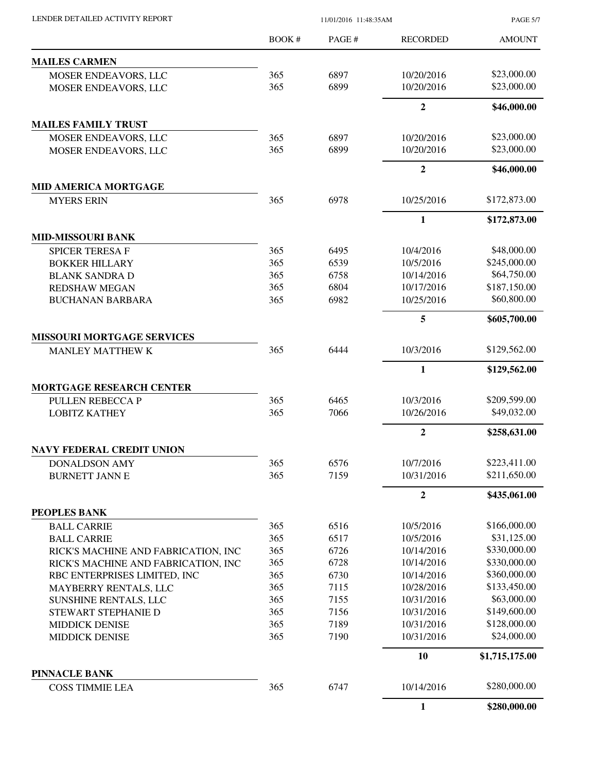| LENDER DETAILED ACTIVITY REPORT                | 11/01/2016 11:48:35AM |              |                        | <b>PAGE 5/7</b> |
|------------------------------------------------|-----------------------|--------------|------------------------|-----------------|
|                                                | BOOK #                | PAGE #       | <b>RECORDED</b>        | <b>AMOUNT</b>   |
| <b>MAILES CARMEN</b>                           |                       |              |                        |                 |
| MOSER ENDEAVORS, LLC                           | 365                   | 6897         | 10/20/2016             | \$23,000.00     |
| MOSER ENDEAVORS, LLC                           | 365                   | 6899         | 10/20/2016             | \$23,000.00     |
|                                                |                       |              | $\overline{2}$         | \$46,000.00     |
| <b>MAILES FAMILY TRUST</b>                     |                       |              |                        |                 |
| MOSER ENDEAVORS, LLC                           | 365                   | 6897         | 10/20/2016             | \$23,000.00     |
| MOSER ENDEAVORS, LLC                           | 365                   | 6899         | 10/20/2016             | \$23,000.00     |
|                                                |                       |              | $\boldsymbol{2}$       | \$46,000.00     |
| <b>MID AMERICA MORTGAGE</b>                    |                       |              |                        |                 |
| <b>MYERS ERIN</b>                              | 365                   | 6978         | 10/25/2016             | \$172,873.00    |
|                                                |                       |              | $\mathbf{1}$           | \$172,873.00    |
| <b>MID-MISSOURI BANK</b>                       |                       |              |                        | \$48,000.00     |
| SPICER TERESA F                                | 365<br>365            | 6495<br>6539 | 10/4/2016<br>10/5/2016 | \$245,000.00    |
| <b>BOKKER HILLARY</b>                          | 365                   | 6758         | 10/14/2016             | \$64,750.00     |
| <b>BLANK SANDRA D</b><br><b>REDSHAW MEGAN</b>  | 365                   | 6804         | 10/17/2016             | \$187,150.00    |
| <b>BUCHANAN BARBARA</b>                        | 365                   | 6982         | 10/25/2016             | \$60,800.00     |
|                                                |                       |              | 5                      | \$605,700.00    |
| <b>MISSOURI MORTGAGE SERVICES</b>              |                       |              |                        |                 |
| <b>MANLEY MATTHEW K</b>                        | 365                   | 6444         | 10/3/2016              | \$129,562.00    |
|                                                |                       |              | $\mathbf{1}$           | \$129,562.00    |
| <b>MORTGAGE RESEARCH CENTER</b>                |                       |              |                        |                 |
| PULLEN REBECCA P                               | 365                   | 6465         | 10/3/2016              | \$209,599.00    |
| <b>LOBITZ KATHEY</b>                           | 365                   | 7066         | 10/26/2016             | \$49,032.00     |
|                                                |                       |              | $\boldsymbol{2}$       | \$258,631.00    |
| <b>NAVY FEDERAL CREDIT UNION</b>               |                       |              |                        |                 |
| <b>DONALDSON AMY</b>                           | 365                   | 6576         | 10/7/2016              | \$223,411.00    |
| <b>BURNETT JANN E</b>                          | 365                   | 7159         | 10/31/2016             | \$211,650.00    |
|                                                |                       |              | $\boldsymbol{2}$       | \$435,061.00    |
| PEOPLES BANK                                   |                       |              |                        |                 |
| <b>BALL CARRIE</b>                             | 365                   | 6516         | 10/5/2016              | \$166,000.00    |
| <b>BALL CARRIE</b>                             | 365                   | 6517         | 10/5/2016              | \$31,125.00     |
| RICK'S MACHINE AND FABRICATION, INC            | 365                   | 6726         | 10/14/2016             | \$330,000.00    |
| RICK'S MACHINE AND FABRICATION, INC            | 365                   | 6728         | 10/14/2016             | \$330,000.00    |
| RBC ENTERPRISES LIMITED, INC                   | 365                   | 6730         | 10/14/2016             | \$360,000.00    |
| MAYBERRY RENTALS, LLC                          | 365                   | 7115         | 10/28/2016             | \$133,450.00    |
| SUNSHINE RENTALS, LLC                          | 365                   | 7155         | 10/31/2016             | \$63,000.00     |
| STEWART STEPHANIE D                            | 365                   | 7156         | 10/31/2016             | \$149,600.00    |
| <b>MIDDICK DENISE</b>                          | 365                   | 7189         | 10/31/2016             | \$128,000.00    |
| <b>MIDDICK DENISE</b>                          | 365                   | 7190         | 10/31/2016             | \$24,000.00     |
|                                                |                       |              | 10                     | \$1,715,175.00  |
| <b>PINNACLE BANK</b><br><b>COSS TIMMIE LEA</b> | 365                   | 6747         | 10/14/2016             | \$280,000.00    |
|                                                |                       |              | $\mathbf{1}$           | \$280,000.00    |
|                                                |                       |              |                        |                 |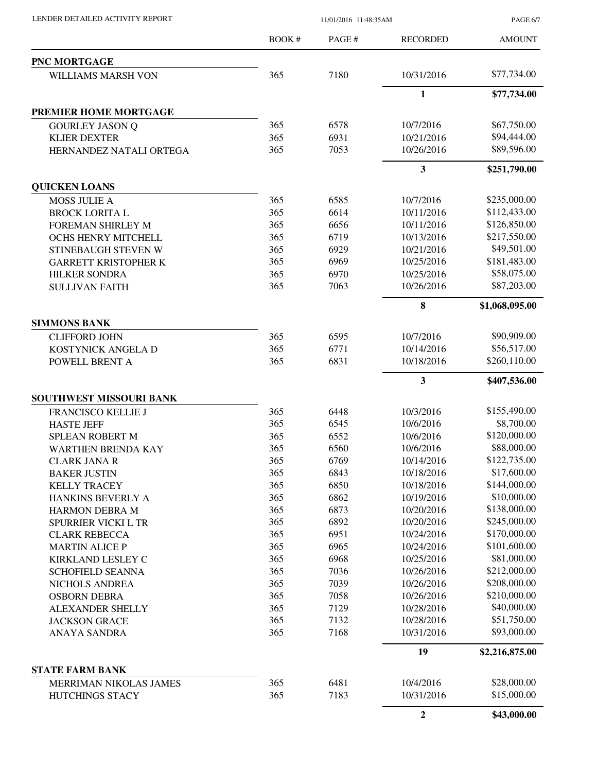LENDER DETAILED ACTIVITY REPORT 11/01/2016 11:48:35AM

PAGE 6/7

|                             | <b>BOOK#</b> | PAGE# | <b>RECORDED</b>  | <b>AMOUNT</b>  |
|-----------------------------|--------------|-------|------------------|----------------|
| PNC MORTGAGE                |              |       |                  |                |
| WILLIAMS MARSH VON          | 365          | 7180  | 10/31/2016       | \$77,734.00    |
|                             |              |       | $\mathbf{1}$     | \$77,734.00    |
| PREMIER HOME MORTGAGE       |              |       |                  |                |
| <b>GOURLEY JASON Q</b>      | 365          | 6578  | 10/7/2016        | \$67,750.00    |
| <b>KLIER DEXTER</b>         | 365          | 6931  | 10/21/2016       | \$94,444.00    |
| HERNANDEZ NATALI ORTEGA     | 365          | 7053  | 10/26/2016       | \$89,596.00    |
|                             |              |       | 3                | \$251,790.00   |
| <b>QUICKEN LOANS</b>        |              |       |                  |                |
| <b>MOSS JULIE A</b>         | 365          | 6585  | 10/7/2016        | \$235,000.00   |
| <b>BROCK LORITA L</b>       | 365          | 6614  | 10/11/2016       | \$112,433.00   |
| <b>FOREMAN SHIRLEY M</b>    | 365          | 6656  | 10/11/2016       | \$126,850.00   |
| OCHS HENRY MITCHELL         | 365          | 6719  | 10/13/2016       | \$217,550.00   |
| STINEBAUGH STEVEN W         | 365          | 6929  | 10/21/2016       | \$49,501.00    |
| <b>GARRETT KRISTOPHER K</b> | 365          | 6969  | 10/25/2016       | \$181,483.00   |
| <b>HILKER SONDRA</b>        | 365          | 6970  | 10/25/2016       | \$58,075.00    |
| <b>SULLIVAN FAITH</b>       | 365          | 7063  | 10/26/2016       | \$87,203.00    |
|                             |              |       | 8                | \$1,068,095.00 |
| <b>SIMMONS BANK</b>         |              |       |                  |                |
| <b>CLIFFORD JOHN</b>        | 365          | 6595  | 10/7/2016        | \$90,909.00    |
| KOSTYNICK ANGELA D          | 365          | 6771  | 10/14/2016       | \$56,517.00    |
| POWELL BRENT A              | 365          | 6831  | 10/18/2016       | \$260,110.00   |
|                             |              |       | 3                | \$407,536.00   |
| SOUTHWEST MISSOURI BANK     |              |       |                  |                |
| FRANCISCO KELLIE J          | 365          | 6448  | 10/3/2016        | \$155,490.00   |
| <b>HASTE JEFF</b>           | 365          | 6545  | 10/6/2016        | \$8,700.00     |
| SPLEAN ROBERT M             | 365          | 6552  | 10/6/2016        | \$120,000.00   |
| <b>WARTHEN BRENDA KAY</b>   | 365          | 6560  | 10/6/2016        | \$88,000.00    |
| CLARK JANA R                | 365          | 6769  | 10/14/2016       | \$122,735.00   |
| <b>BAKER JUSTIN</b>         | 365          | 6843  | 10/18/2016       | \$17,600.00    |
| <b>KELLY TRACEY</b>         | 365          | 6850  | 10/18/2016       | \$144,000.00   |
| HANKINS BEVERLY A           | 365          | 6862  | 10/19/2016       | \$10,000.00    |
| <b>HARMON DEBRA M</b>       | 365          | 6873  | 10/20/2016       | \$138,000.00   |
| SPURRIER VICKI L TR         | 365          | 6892  | 10/20/2016       | \$245,000.00   |
| <b>CLARK REBECCA</b>        | 365          | 6951  | 10/24/2016       | \$170,000.00   |
| <b>MARTIN ALICE P</b>       | 365          | 6965  | 10/24/2016       | \$101,600.00   |
| KIRKLAND LESLEY C           | 365          | 6968  | 10/25/2016       | \$81,000.00    |
| <b>SCHOFIELD SEANNA</b>     | 365          | 7036  | 10/26/2016       | \$212,000.00   |
| NICHOLS ANDREA              | 365          | 7039  | 10/26/2016       | \$208,000.00   |
| <b>OSBORN DEBRA</b>         | 365          | 7058  | 10/26/2016       | \$210,000.00   |
| ALEXANDER SHELLY            | 365          | 7129  | 10/28/2016       | \$40,000.00    |
| <b>JACKSON GRACE</b>        | 365          | 7132  | 10/28/2016       | \$51,750.00    |
| ANAYA SANDRA                | 365          | 7168  | 10/31/2016       | \$93,000.00    |
|                             |              |       | 19               | \$2,216,875.00 |
| <b>STATE FARM BANK</b>      |              |       |                  |                |
| MERRIMAN NIKOLAS JAMES      | 365          | 6481  | 10/4/2016        | \$28,000.00    |
| HUTCHINGS STACY             | 365          | 7183  | 10/31/2016       | \$15,000.00    |
|                             |              |       | $\boldsymbol{2}$ | \$43,000.00    |